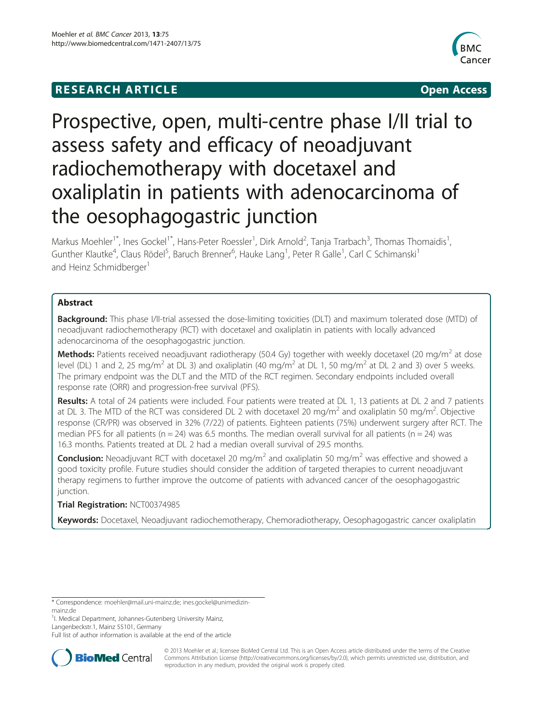# **RESEARCH ARTICLE CONSUMING A RESEARCH ARTICLE**



# Prospective, open, multi-centre phase I/II trial to assess safety and efficacy of neoadjuvant radiochemotherapy with docetaxel and oxaliplatin in patients with adenocarcinoma of the oesophagogastric junction

Markus Moehler<sup>1\*</sup>, Ines Gockel<sup>1\*</sup>, Hans-Peter Roessler<sup>1</sup>, Dirk Arnold<sup>2</sup>, Tanja Trarbach<sup>3</sup>, Thomas Thomaidis<sup>1</sup> , Gunther Klautke<sup>4</sup>, Claus Rödel<sup>5</sup>, Baruch Brenner<sup>6</sup>, Hauke Lang<sup>1</sup>, Peter R Galle<sup>1</sup>, Carl C Schimanski<sup>1</sup> and Heinz Schmidberger<sup>1</sup>

# Abstract

**Background:** This phase I/II-trial assessed the dose-limiting toxicities (DLT) and maximum tolerated dose (MTD) of neoadjuvant radiochemotherapy (RCT) with docetaxel and oxaliplatin in patients with locally advanced adenocarcinoma of the oesophagogastric junction.

**Methods:** Patients received neoadjuvant radiotherapy (50.4 Gy) together with weekly docetaxel (20 mg/m<sup>2</sup> at dose level (DL) 1 and 2, 25 mg/m<sup>2</sup> at DL 3) and oxaliplatin (40 mg/m<sup>2</sup> at DL 1, 50 mg/m<sup>2</sup> at DL 2 and 3) over 5 weeks. The primary endpoint was the DLT and the MTD of the RCT regimen. Secondary endpoints included overall response rate (ORR) and progression-free survival (PFS).

Results: A total of 24 patients were included. Four patients were treated at DL 1, 13 patients at DL 2 and 7 patients at DL 3. The MTD of the RCT was considered DL 2 with docetaxel 20 mg/m<sup>2</sup> and oxaliplatin 50 mg/m<sup>2</sup>. Objective response (CR/PR) was observed in 32% (7/22) of patients. Eighteen patients (75%) underwent surgery after RCT. The median PFS for all patients (n = 24) was 6.5 months. The median overall survival for all patients (n = 24) was 16.3 months. Patients treated at DL 2 had a median overall survival of 29.5 months.

**Conclusion:** Neoadjuvant RCT with docetaxel 20 mg/m<sup>2</sup> and oxaliplatin 50 mg/m<sup>2</sup> was effective and showed a good toxicity profile. Future studies should consider the addition of targeted therapies to current neoadjuvant therapy regimens to further improve the outcome of patients with advanced cancer of the oesophagogastric junction.

# Trial Registration: NCT00374985

Keywords: Docetaxel, Neoadjuvant radiochemotherapy, Chemoradiotherapy, Oesophagogastric cancer oxaliplatin

<sup>1</sup>I. Medical Department, Johannes-Gutenberg University Mainz, Langenbeckstr.1, Mainz 55101, Germany

Full list of author information is available at the end of the article



© 2013 Moehler et al.; licensee BioMed Central Ltd. This is an Open Access article distributed under the terms of the Creative Commons Attribution License [\(http://creativecommons.org/licenses/by/2.0\)](http://creativecommons.org/licenses/by/2.0), which permits unrestricted use, distribution, and reproduction in any medium, provided the original work is properly cited.

<sup>\*</sup> Correspondence: [moehler@mail.uni-mainz.de](mailto:moehler@mail.uni-mainz.de); [ines.gockel@unimedizin](mailto:ines.gockel@unimedizin-mainz.de)[mainz.de](mailto:ines.gockel@unimedizin-mainz.de)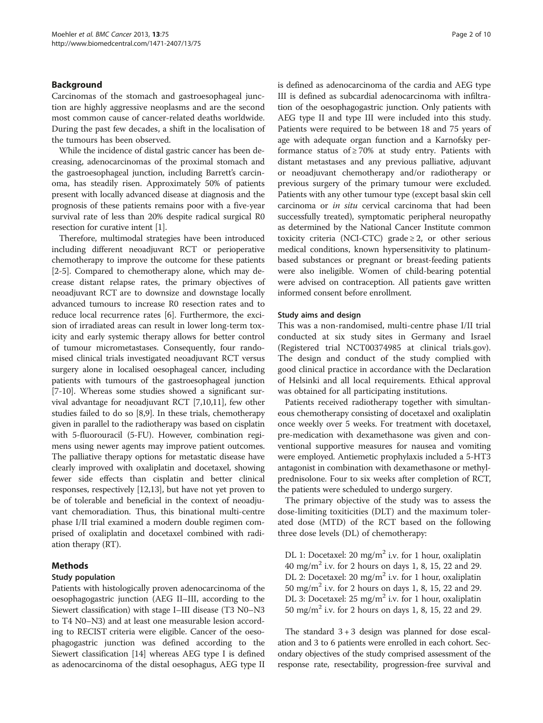## Background

Carcinomas of the stomach and gastroesophageal junction are highly aggressive neoplasms and are the second most common cause of cancer-related deaths worldwide. During the past few decades, a shift in the localisation of the tumours has been observed.

While the incidence of distal gastric cancer has been decreasing, adenocarcinomas of the proximal stomach and the gastroesophageal junction, including Barrett's carcinoma, has steadily risen. Approximately 50% of patients present with locally advanced disease at diagnosis and the prognosis of these patients remains poor with a five-year survival rate of less than 20% despite radical surgical R0 resection for curative intent [\[1](#page-8-0)].

Therefore, multimodal strategies have been introduced including different neoadjuvant RCT or perioperative chemotherapy to improve the outcome for these patients [[2-5\]](#page-8-0). Compared to chemotherapy alone, which may decrease distant relapse rates, the primary objectives of neoadjuvant RCT are to downsize and downstage locally advanced tumours to increase R0 resection rates and to reduce local recurrence rates [\[6](#page-8-0)]. Furthermore, the excision of irradiated areas can result in lower long-term toxicity and early systemic therapy allows for better control of tumour micrometastases. Consequently, four randomised clinical trials investigated neoadjuvant RCT versus surgery alone in localised oesophageal cancer, including patients with tumours of the gastroesophageal junction [[7-10\]](#page-8-0). Whereas some studies showed a significant survival advantage for neoadjuvant RCT [[7,10,11](#page-8-0)], few other studies failed to do so [\[8,9](#page-8-0)]. In these trials, chemotherapy given in parallel to the radiotherapy was based on cisplatin with 5-fluorouracil (5-FU). However, combination regimens using newer agents may improve patient outcomes. The palliative therapy options for metastatic disease have clearly improved with oxaliplatin and docetaxel, showing fewer side effects than cisplatin and better clinical responses, respectively [\[12,13\]](#page-8-0), but have not yet proven to be of tolerable and beneficial in the context of neoadjuvant chemoradiation. Thus, this binational multi-centre phase I/II trial examined a modern double regimen comprised of oxaliplatin and docetaxel combined with radiation therapy (RT).

# Methods

#### Study population

Patients with histologically proven adenocarcinoma of the oesophagogastric junction (AEG II–III, according to the Siewert classification) with stage I–III disease (T3 N0–N3 to T4 N0–N3) and at least one measurable lesion according to RECIST criteria were eligible. Cancer of the oesophagogastric junction was defined according to the Siewert classification [[14](#page-8-0)] whereas AEG type I is defined as adenocarcinoma of the distal oesophagus, AEG type II is defined as adenocarcinoma of the cardia and AEG type III is defined as subcardial adenocarcinoma with infiltration of the oesophagogastric junction. Only patients with AEG type II and type III were included into this study. Patients were required to be between 18 and 75 years of age with adequate organ function and a Karnofsky performance status of  $\geq 70\%$  at study entry. Patients with distant metastases and any previous palliative, adjuvant or neoadjuvant chemotherapy and/or radiotherapy or previous surgery of the primary tumour were excluded. Patients with any other tumour type (except basal skin cell carcinoma or in situ cervical carcinoma that had been successfully treated), symptomatic peripheral neuropathy as determined by the National Cancer Institute common toxicity criteria (NCI-CTC) grade  $\geq 2$ , or other serious medical conditions, known hypersensitivity to platinumbased substances or pregnant or breast-feeding patients were also ineligible. Women of child-bearing potential were advised on contraception. All patients gave written informed consent before enrollment.

#### Study aims and design

This was a non-randomised, multi-centre phase I/II trial conducted at six study sites in Germany and Israel (Registered trial NCT00374985 at clinical trials.gov). The design and conduct of the study complied with good clinical practice in accordance with the Declaration of Helsinki and all local requirements. Ethical approval was obtained for all participating institutions.

Patients received radiotherapy together with simultaneous chemotherapy consisting of docetaxel and oxaliplatin once weekly over 5 weeks. For treatment with docetaxel, pre-medication with dexamethasone was given and conventional supportive measures for nausea and vomiting were employed. Antiemetic prophylaxis included a 5-HT3 antagonist in combination with dexamethasone or methylprednisolone. Four to six weeks after completion of RCT, the patients were scheduled to undergo surgery.

The primary objective of the study was to assess the dose-limiting toxiticities (DLT) and the maximum tolerated dose (MTD) of the RCT based on the following three dose levels (DL) of chemotherapy:

DL 1: Docetaxel: 20 mg/m<sup>2</sup> i.v. for 1 hour, oxaliplatin 40 mg/m<sup>2</sup> i.v. for 2 hours on days 1, 8, 15, 22 and 29. DL 2: Docetaxel: 20 mg/m<sup>2</sup> i.v. for 1 hour, oxaliplatin 50 mg/m<sup>2</sup> i.v. for 2 hours on days 1, 8, 15, 22 and 29. DL 3: Docetaxel:  $25 \text{ mg/m}^2$  i.v. for 1 hour, oxaliplatin 50 mg/m<sup>2</sup> i.v. for 2 hours on days 1, 8, 15, 22 and 29.

The standard  $3 + 3$  design was planned for dose escalation and 3 to 6 patients were enrolled in each cohort. Secondary objectives of the study comprised assessment of the response rate, resectability, progression-free survival and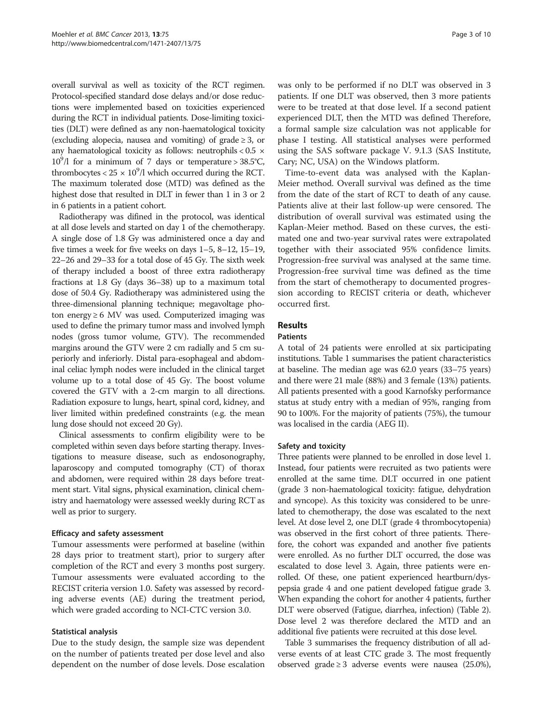overall survival as well as toxicity of the RCT regimen. Protocol-specified standard dose delays and/or dose reductions were implemented based on toxicities experienced during the RCT in individual patients. Dose-limiting toxicities (DLT) were defined as any non-haematological toxicity (excluding alopecia, nausea and vomiting) of grade  $\geq 3$ , or any haematological toxicity as follows: neutrophils  $< 0.5 \times$  $10^9$ /l for a minimum of 7 days or temperature > 38.5°C, thrombocytes  $< 25 \times 10^9$ /l which occurred during the RCT. The maximum tolerated dose (MTD) was defined as the highest dose that resulted in DLT in fewer than 1 in 3 or 2 in 6 patients in a patient cohort.

Radiotherapy was difined in the protocol, was identical at all dose levels and started on day 1 of the chemotherapy. A single dose of 1.8 Gy was administered once a day and five times a week for five weeks on days 1–5, 8–12, 15–19, 22–26 and 29–33 for a total dose of 45 Gy. The sixth week of therapy included a boost of three extra radiotherapy fractions at 1.8 Gy (days 36–38) up to a maximum total dose of 50.4 Gy. Radiotherapy was administered using the three-dimensional planning technique; megavoltage photon energy  $\geq 6$  MV was used. Computerized imaging was used to define the primary tumor mass and involved lymph nodes (gross tumor volume, GTV). The recommended margins around the GTV were 2 cm radially and 5 cm superiorly and inferiorly. Distal para-esophageal and abdominal celiac lymph nodes were included in the clinical target volume up to a total dose of 45 Gy. The boost volume covered the GTV with a 2-cm margin to all directions. Radiation exposure to lungs, heart, spinal cord, kidney, and liver limited within predefined constraints (e.g. the mean lung dose should not exceed 20 Gy).

Clinical assessments to confirm eligibility were to be completed within seven days before starting therapy. Investigations to measure disease, such as endosonography, laparoscopy and computed tomography (CT) of thorax and abdomen, were required within 28 days before treatment start. Vital signs, physical examination, clinical chemistry and haematology were assessed weekly during RCT as well as prior to surgery.

#### Efficacy and safety assessment

Tumour assessments were performed at baseline (within 28 days prior to treatment start), prior to surgery after completion of the RCT and every 3 months post surgery. Tumour assessments were evaluated according to the RECIST criteria version 1.0. Safety was assessed by recording adverse events (AE) during the treatment period, which were graded according to NCI-CTC version 3.0.

## Statistical analysis

Due to the study design, the sample size was dependent on the number of patients treated per dose level and also dependent on the number of dose levels. Dose escalation was only to be performed if no DLT was observed in 3 patients. If one DLT was observed, then 3 more patients were to be treated at that dose level. If a second patient experienced DLT, then the MTD was defined Therefore, a formal sample size calculation was not applicable for phase I testing. All statistical analyses were performed using the SAS software package V. 9.1.3 (SAS Institute, Cary; NC, USA) on the Windows platform.

Time-to-event data was analysed with the Kaplan-Meier method. Overall survival was defined as the time from the date of the start of RCT to death of any cause. Patients alive at their last follow-up were censored. The distribution of overall survival was estimated using the Kaplan-Meier method. Based on these curves, the estimated one and two-year survival rates were extrapolated together with their associated 95% confidence limits. Progression-free survival was analysed at the same time. Progression-free survival time was defined as the time from the start of chemotherapy to documented progression according to RECIST criteria or death, whichever occurred first.

# Results

#### Patients

A total of 24 patients were enrolled at six participating institutions. Table [1](#page-3-0) summarises the patient characteristics at baseline. The median age was 62.0 years (33–75 years) and there were 21 male (88%) and 3 female (13%) patients. All patients presented with a good Karnofsky performance status at study entry with a median of 95%, ranging from 90 to 100%. For the majority of patients (75%), the tumour was localised in the cardia (AEG II).

#### Safety and toxicity

Three patients were planned to be enrolled in dose level 1. Instead, four patients were recruited as two patients were enrolled at the same time. DLT occurred in one patient (grade 3 non-haematological toxicity: fatigue, dehydration and syncope). As this toxicity was considered to be unrelated to chemotherapy, the dose was escalated to the next level. At dose level 2, one DLT (grade 4 thrombocytopenia) was observed in the first cohort of three patients. Therefore, the cohort was expanded and another five patients were enrolled. As no further DLT occurred, the dose was escalated to dose level 3. Again, three patients were enrolled. Of these, one patient experienced heartburn/dyspepsia grade 4 and one patient developed fatigue grade 3. When expanding the cohort for another 4 patients, further DLT were observed (Fatigue, diarrhea, infection) (Table [2](#page-4-0)). Dose level 2 was therefore declared the MTD and an additional five patients were recruited at this dose level.

Table [3](#page-4-0) summarises the frequency distribution of all adverse events of at least CTC grade 3. The most frequently observed grade ≥ 3 adverse events were nausea  $(25.0\%),$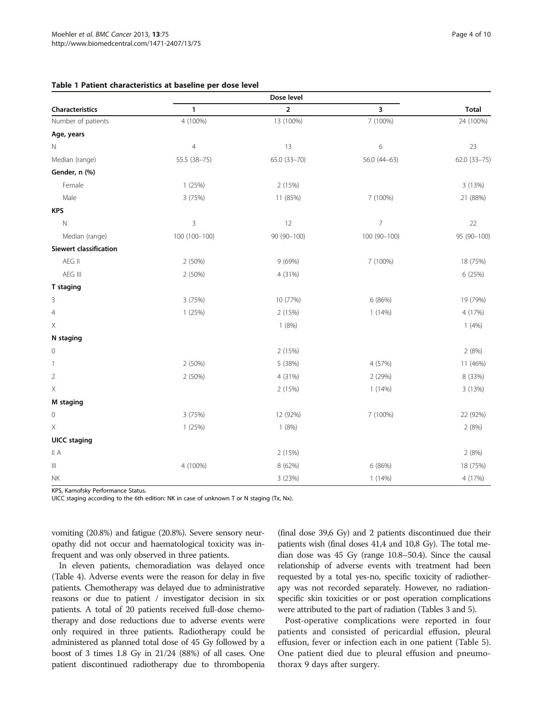#### <span id="page-3-0"></span>Table 1 Patient characteristics at baseline per dose level

| Characteristics                    | 1              | $\overline{2}$ | 3              | <b>Total</b> |
|------------------------------------|----------------|----------------|----------------|--------------|
| Number of patients                 | 4 (100%)       | 13 (100%)      | 7 (100%)       | 24 (100%)    |
| Age, years                         |                |                |                |              |
| $\hbox{N}$                         | $\overline{4}$ | 13             | $\,$ 6 $\,$    | 23           |
| Median (range)                     | 55.5 (38-75)   | 65.0 (33-70)   | 56.0 (44-63)   | 62.0 (33-75) |
| Gender, n (%)                      |                |                |                |              |
| Female                             | 1 (25%)        | 2 (15%)        |                | 3 (13%)      |
| Male                               | 3 (75%)        | 11 (85%)       | 7 (100%)       | 21 (88%)     |
| <b>KPS</b>                         |                |                |                |              |
| $\mathsf N$                        | $\overline{3}$ | 12             | $\overline{7}$ | 22           |
| Median (range)                     | 100 (100-100)  | 90 (90-100)    | 100 (90-100)   | 95 (90-100)  |
| <b>Siewert classification</b>      |                |                |                |              |
| AEG II                             | 2 (50%)        | 9 (69%)        | 7 (100%)       | 18 (75%)     |
| AEG III                            | 2 (50%)        | 4 (31%)        |                | 6 (25%)      |
| T staging                          |                |                |                |              |
| 3                                  | 3 (75%)        | 10 (77%)       | 6 (86%)        | 19 (79%)     |
| $\overline{4}$                     | 1(25%)         | 2 (15%)        | 1(14%)         | 4 (17%)      |
| $\mathsf X$                        |                | 1(8%)          |                | 1(4%)        |
| N staging                          |                |                |                |              |
| $\mathbf 0$                        |                | 2 (15%)        |                | 2(8%)        |
| 1                                  | 2 (50%)        | 5 (38%)        | 4 (57%)        | 11 (46%)     |
| $\overline{2}$                     | 2 (50%)        | 4 (31%)        | 2 (29%)        | 8 (33%)      |
| $\mathsf X$                        |                | 2 (15%)        | 1 (14%)        | 3 (13%)      |
| M staging                          |                |                |                |              |
| $\mathbf 0$                        | 3 (75%)        | 12 (92%)       | 7 (100%)       | 22 (92%)     |
| $\boldsymbol{\times}$              | 1 (25%)        | 1(8%)          |                | 2(8%)        |
| <b>UICC</b> staging                |                |                |                |              |
| II A                               |                | 2 (15%)        |                | 2(8%)        |
| $\ensuremath{\mathsf{III}}\xspace$ | 4 (100%)       | 8 (62%)        | 6 (86%)        | 18 (75%)     |
| NK                                 |                | 3 (23%)        | 1(14%)         | 4 (17%)      |

KPS, Karnofsky Performance Status.

UICC staging according to the 6th edition: NK in case of unknown T or N staging (Tx, Nx).

vomiting (20.8%) and fatigue (20.8%). Severe sensory neuropathy did not occur and haematological toxicity was infrequent and was only observed in three patients.

In eleven patients, chemoradiation was delayed once (Table [4](#page-5-0)). Adverse events were the reason for delay in five patients. Chemotherapy was delayed due to administrative reasons or due to patient / investigator decision in six patients. A total of 20 patients received full-dose chemotherapy and dose reductions due to adverse events were only required in three patients. Radiotherapy could be administered as planned total dose of 45 Gy followed by a boost of 3 times 1.8 Gy in 21/24 (88%) of all cases. One patient discontinued radiotherapy due to thrombopenia (final dose 39,6 Gy) and 2 patients discontinued due their patients wish (final doses 41,4 and 10,8 Gy). The total median dose was 45 Gy (range 10.8–50.4). Since the causal relationship of adverse events with treatment had been requested by a total yes-no, specific toxicity of radiotherapy was not recorded separately. However, no radiationspecific skin toxicities or or post operation complications were attributed to the part of radiation (Tables [3](#page-4-0) and [5](#page-5-0)).

Post-operative complications were reported in four patients and consisted of pericardial effusion, pleural effusion, fever or infection each in one patient (Table [5](#page-5-0)). One patient died due to pleural effusion and pneumothorax 9 days after surgery.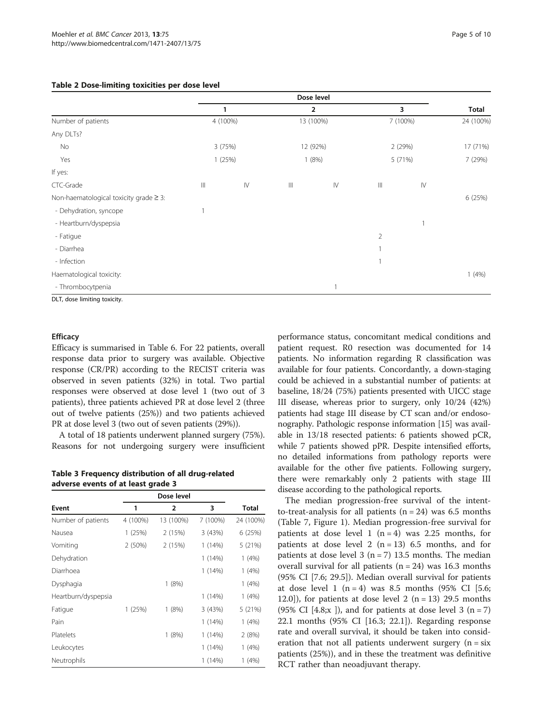<span id="page-4-0"></span>

|                                             |            |               |                   | Dose level     |                |               |              |
|---------------------------------------------|------------|---------------|-------------------|----------------|----------------|---------------|--------------|
|                                             |            | 1             |                   | $\overline{2}$ |                | 3             | <b>Total</b> |
| Number of patients                          |            | 4 (100%)      |                   | 13 (100%)      |                | 7 (100%)      | 24 (100%)    |
| Any DLTs?                                   |            |               |                   |                |                |               |              |
| No                                          |            | 3(75%)        |                   | 12 (92%)       |                | 2 (29%)       | 17 (71%)     |
| Yes                                         |            | 1(25%)        |                   | 1(8%)          |                | 5 (71%)       | 7 (29%)      |
| If yes:                                     |            |               |                   |                |                |               |              |
| CTC-Grade                                   | $\  \, \ $ | $\mathsf{IV}$ | $\vert\vert\vert$ | $\mathsf{IV}$  | $\  \, \ $     | $\mathsf{IV}$ |              |
| Non-haematological toxicity grade $\geq$ 3: |            |               |                   |                |                |               | 6 (25%)      |
| - Dehydration, syncope                      |            |               |                   |                |                |               |              |
| - Heartburn/dyspepsia                       |            |               |                   |                |                | 1             |              |
| - Fatigue                                   |            |               |                   |                | $\overline{2}$ |               |              |
| - Diarrhea                                  |            |               |                   |                |                |               |              |
| - Infection                                 |            |               |                   |                |                |               |              |
| Haematological toxicity:                    |            |               |                   |                |                |               | 1(4%)        |
| - Thrombocytpenia                           |            |               |                   |                |                |               |              |

DLT, dose limiting toxicity.

#### **Efficacy**

Efficacy is summarised in Table [6](#page-6-0). For 22 patients, overall response data prior to surgery was available. Objective response (CR/PR) according to the RECIST criteria was observed in seven patients (32%) in total. Two partial responses were observed at dose level 1 (two out of 3 patients), three patients achieved PR at dose level 2 (three out of twelve patients (25%)) and two patients achieved PR at dose level 3 (two out of seven patients (29%)).

A total of 18 patients underwent planned surgery (75%). Reasons for not undergoing surgery were insufficient

Table 3 Frequency distribution of all drug-related adverse events of at least grade 3

| Event               | 1        | $\overline{2}$ | 3        | <b>Total</b> |
|---------------------|----------|----------------|----------|--------------|
| Number of patients  | 4 (100%) | 13 (100%)      | 7 (100%) | 24 (100%)    |
| Nausea              | 1(25%)   | 2 (15%)        | 3(43%)   | 6(25%)       |
| Vomiting            | 2(50%)   | 2 (15%)        | 1(14%)   | 5 (21%)      |
| Dehydration         |          |                | 1(14%)   | 1(4%)        |
| Diarrhoea           |          |                | 1(14%)   | 1(4%)        |
| Dysphagia           |          | 1(8%)          |          | 1(4%)        |
| Heartburn/dyspepsia |          |                | 1(14%)   | 1(4%)        |
| Fatigue             | 1(25%)   | 1(8%)          | 3(43%)   | 5(21%)       |
| Pain                |          |                | 1(14%)   | 1(4%)        |
| Platelets           |          | 1(8%)          | 1(14%)   | 2(8%)        |
| Leukocytes          |          |                | 1 (14%)  | 1(4%)        |
| Neutrophils         |          |                | 1 (14%)  | 1(4%)        |

performance status, concomitant medical conditions and patient request. R0 resection was documented for 14 patients. No information regarding R classification was available for four patients. Concordantly, a down-staging could be achieved in a substantial number of patients: at baseline, 18/24 (75%) patients presented with UICC stage III disease, whereas prior to surgery, only 10/24 (42%) patients had stage III disease by CT scan and/or endosonography. Pathologic response information [[15](#page-8-0)] was available in 13/18 resected patients: 6 patients showed pCR, while 7 patients showed pPR. Despite intensified efforts, no detailed informations from pathology reports were available for the other five patients. Following surgery, there were remarkably only 2 patients with stage III disease according to the pathological reports.

The median progression-free survival of the intentto-treat-analysis for all patients  $(n = 24)$  was 6.5 months (Table [7,](#page-7-0) Figure [1](#page-7-0)). Median progression-free survival for patients at dose level 1 ( $n = 4$ ) was 2.25 months, for patients at dose level 2  $(n = 13)$  6.5 months, and for patients at dose level 3 ( $n = 7$ ) 13.5 months. The median overall survival for all patients  $(n = 24)$  was 16.3 months (95% CI [7.6; 29.5]). Median overall survival for patients at dose level 1 (n = 4) was 8.5 months (95% CI [5.6; 12.0]), for patients at dose level 2  $(n = 13)$  29.5 months (95% CI [4.8; $x$  ]), and for patients at dose level 3 (n = 7) 22.1 months (95% CI [16.3; 22.1]). Regarding response rate and overall survival, it should be taken into consideration that not all patients underwent surgery  $(n = s)x$ patients (25%)), and in these the treatment was definitive RCT rather than neoadjuvant therapy.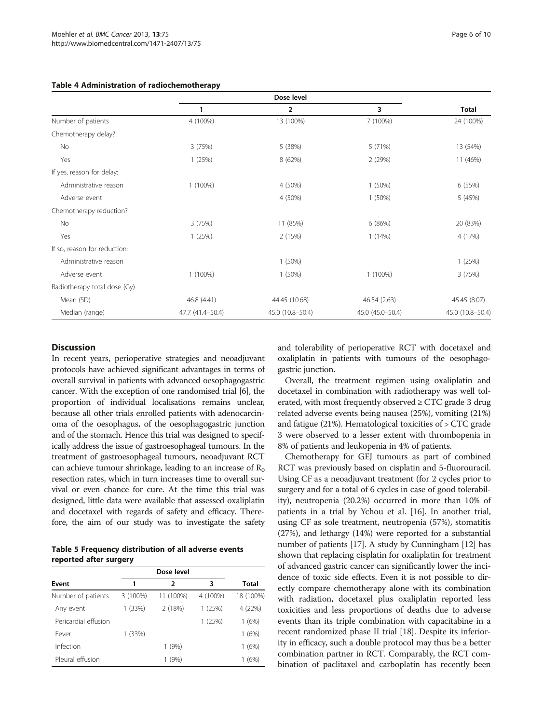|                              | Dose level       |                  |                  |                  |
|------------------------------|------------------|------------------|------------------|------------------|
|                              |                  | $\overline{2}$   | 3                | <b>Total</b>     |
| Number of patients           | 4 (100%)         | 13 (100%)        | 7 (100%)         | 24 (100%)        |
| Chemotherapy delay?          |                  |                  |                  |                  |
| No                           | 3(75%)           | 5 (38%)          | 5(71%)           | 13 (54%)         |
| Yes                          | 1(25%)           | 8 (62%)          | 2(29%)           | 11 (46%)         |
| If yes, reason for delay:    |                  |                  |                  |                  |
| Administrative reason        | $1(100\%)$       | 4 (50%)          | 1(50%)           | 6 (55%)          |
| Adverse event                |                  | 4 (50%)          | $1(50\%)$        | 5 (45%)          |
| Chemotherapy reduction?      |                  |                  |                  |                  |
| No                           | 3(75%)           | 11 (85%)         | 6(86%)           | 20 (83%)         |
| Yes                          | 1(25%)           | 2 (15%)          | 1(14%)           | 4 (17%)          |
| If so, reason for reduction: |                  |                  |                  |                  |
| Administrative reason        |                  | 1(50%)           |                  | 1(25%)           |
| Adverse event                | $1(100\%)$       | 1(50%)           | 1 (100%)         | 3(75%)           |
| Radiotherapy total dose (Gy) |                  |                  |                  |                  |
| Mean (SD)                    | 46.8 (4.41)      | 44.45 (10.68)    | 46.54 (2.63)     | 45.45 (8.07)     |
| Median (range)               | 47.7 (41.4-50.4) | 45.0 (10.8-50.4) | 45.0 (45.0-50.4) | 45.0 (10.8-50.4) |

#### <span id="page-5-0"></span>Table 4 Administration of radiochemotherapy

#### **Discussion**

In recent years, perioperative strategies and neoadjuvant protocols have achieved significant advantages in terms of overall survival in patients with advanced oesophagogastric cancer. With the exception of one randomised trial [\[6](#page-8-0)], the proportion of individual localisations remains unclear, because all other trials enrolled patients with adenocarcinoma of the oesophagus, of the oesophagogastric junction and of the stomach. Hence this trial was designed to specifically address the issue of gastroesophageal tumours. In the treatment of gastroesophageal tumours, neoadjuvant RCT can achieve tumour shrinkage, leading to an increase of  $R_0$ resection rates, which in turn increases time to overall survival or even chance for cure. At the time this trial was designed, little data were available that assessed oxaliplatin and docetaxel with regards of safety and efficacy. Therefore, the aim of our study was to investigate the safety

Table 5 Frequency distribution of all adverse events reported after surgery

| Event                | 1        | 2         | 3        | Total     |
|----------------------|----------|-----------|----------|-----------|
| Number of patients   | 3 (100%) | 11 (100%) | 4 (100%) | 18 (100%) |
| Any event            | 1(33%)   | 2(18%)    | 1(25%)   | 4 (22%)   |
| Pericardial effusion |          |           | 1(25%)   | 1(6%)     |
| Fever                | 1(33%)   |           |          | 1(6%)     |
| Infection            |          | 1(9%)     |          | 1(6%)     |
| Pleural effusion     |          | 1(9%)     |          | 1(6%)     |

and tolerability of perioperative RCT with docetaxel and oxaliplatin in patients with tumours of the oesophagogastric junction.

Overall, the treatment regimen using oxaliplatin and docetaxel in combination with radiotherapy was well tolerated, with most frequently observed  $\geq$  CTC grade 3 drug related adverse events being nausea (25%), vomiting (21%) and fatigue (21%). Hematological toxicities of > CTC grade 3 were observed to a lesser extent with thrombopenia in 8% of patients and leukopenia in 4% of patients.

Chemotherapy for GEJ tumours as part of combined RCT was previously based on cisplatin and 5-fluorouracil. Using CF as a neoadjuvant treatment (for 2 cycles prior to surgery and for a total of 6 cycles in case of good tolerability), neutropenia (20.2%) occurred in more than 10% of patients in a trial by Ychou et al. [\[16\]](#page-8-0). In another trial, using CF as sole treatment, neutropenia (57%), stomatitis (27%), and lethargy (14%) were reported for a substantial number of patients [\[17\]](#page-8-0). A study by Cunningham [[12](#page-8-0)] has shown that replacing cisplatin for oxaliplatin for treatment of advanced gastric cancer can significantly lower the incidence of toxic side effects. Even it is not possible to directly compare chemotherapy alone with its combination with radiation, docetaxel plus oxaliplatin reported less toxicities and less proportions of deaths due to adverse events than its triple combination with capacitabine in a recent randomized phase II trial [[18](#page-8-0)]. Despite its inferiority in efficacy, such a double protocol may thus be a better combination partner in RCT. Comparably, the RCT combination of paclitaxel and carboplatin has recently been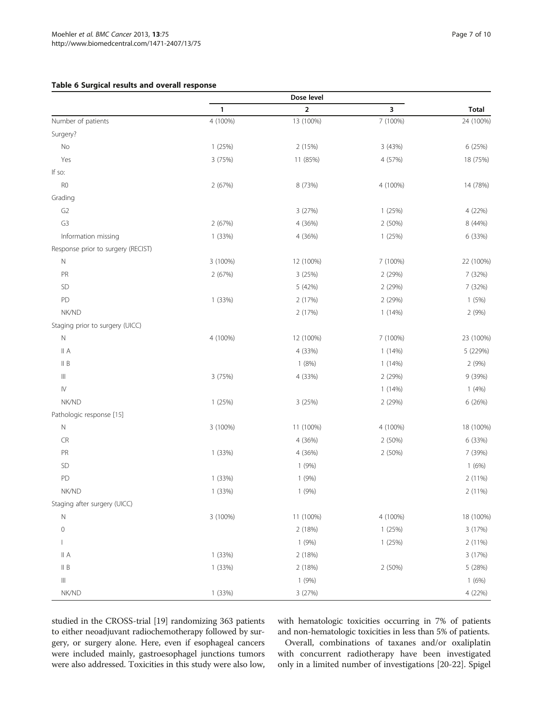#### <span id="page-6-0"></span>Table 6 Surgical results and overall response

|                                    | Dose level |                         |          |              |
|------------------------------------|------------|-------------------------|----------|--------------|
|                                    | 1          | $\overline{\mathbf{2}}$ | 3        | <b>Total</b> |
| Number of patients                 | 4 (100%)   | 13 (100%)               | 7 (100%) | 24 (100%)    |
| Surgery?                           |            |                         |          |              |
| No                                 | 1 (25%)    | 2 (15%)                 | 3 (43%)  | 6 (25%)      |
| Yes                                | 3 (75%)    | 11 (85%)                | 4 (57%)  | 18 (75%)     |
| If so:                             |            |                         |          |              |
| R <sub>0</sub>                     | 2 (67%)    | 8 (73%)                 | 4 (100%) | 14 (78%)     |
| Grading                            |            |                         |          |              |
| G <sub>2</sub>                     |            | 3 (27%)                 | 1(25%)   | 4 (22%)      |
| G3                                 | 2 (67%)    | 4 (36%)                 | 2 (50%)  | 8 (44%)      |
| Information missing                | 1 (33%)    | 4 (36%)                 | 1(25%)   | 6 (33%)      |
| Response prior to surgery (RECIST) |            |                         |          |              |
| $\mathbb N$                        | 3 (100%)   | 12 (100%)               | 7 (100%) | 22 (100%)    |
| PR                                 | 2 (67%)    | 3 (25%)                 | 2 (29%)  | 7 (32%)      |
| SD                                 |            | 5 (42%)                 | 2 (29%)  | 7 (32%)      |
| PD                                 | 1 (33%)    | 2 (17%)                 | 2 (29%)  | 1(5%)        |
| NK/ND                              |            | 2 (17%)                 | 1(14%)   | 2(9%)        |
| Staging prior to surgery (UICC)    |            |                         |          |              |
| $\hbox{N}$                         | 4 (100%)   | 12 (100%)               | 7 (100%) | 23 (100%)    |
| II A                               |            | 4 (33%)                 | 1(14%)   | 5 (229%)     |
| II B                               |            | 1(8%)                   | 1(14%)   | 2(9%)        |
| $\vert\vert\vert$                  | 3 (75%)    | 4 (33%)                 | 2 (29%)  | 9 (39%)      |
| $\mathsf{I}\mathsf{V}$             |            |                         | 1(14%)   | 1(4%)        |
| NK/ND                              | 1(25%)     | 3 (25%)                 | 2 (29%)  | 6 (26%)      |
| Pathologic response [15]           |            |                         |          |              |
| ${\sf N}$                          | 3 (100%)   | 11 (100%)               | 4 (100%) | 18 (100%)    |
| CR                                 |            | 4 (36%)                 | 2 (50%)  | 6 (33%)      |
| PR                                 | 1 (33%)    | 4 (36%)                 | 2 (50%)  | 7 (39%)      |
| SD                                 |            | 1(9%)                   |          | 1(6%)        |
| PD                                 | 1 (33%)    | 1(9%)                   |          | 2 (11%)      |
| NK/ND                              | 1 (33%)    | 1(9%)                   |          | 2 (11%)      |
| Staging after surgery (UICC)       |            |                         |          |              |
| $\hbox{N}$                         | 3 (100%)   | 11 (100%)               | 4 (100%) | 18 (100%)    |
| $\mathbb O$                        |            | 2 (18%)                 | 1(25%)   | 3 (17%)      |
| $\mathbf{I}$                       |            | 1(9%)                   | 1(25%)   | 2 (11%)      |
| A                                  | 1 (33%)    | 2 (18%)                 |          | 3 (17%)      |
| II B                               | 1 (33%)    | 2 (18%)                 | 2 (50%)  | 5 (28%)      |
| $\vert\vert\vert$                  |            | 1(9%)                   |          | 1(6%)        |
| NK/ND                              | 1 (33%)    | 3 (27%)                 |          | 4 (22%)      |

studied in the CROSS-trial [[19](#page-8-0)] randomizing 363 patients to either neoadjuvant radiochemotherapy followed by surgery, or surgery alone. Here, even if esophageal cancers were included mainly, gastroesophagel junctions tumors were also addressed. Toxicities in this study were also low, with hematologic toxicities occurring in 7% of patients and non-hematologic toxicities in less than 5% of patients.

Overall, combinations of taxanes and/or oxaliplatin with concurrent radiotherapy have been investigated only in a limited number of investigations [[20-22\]](#page-8-0). Spigel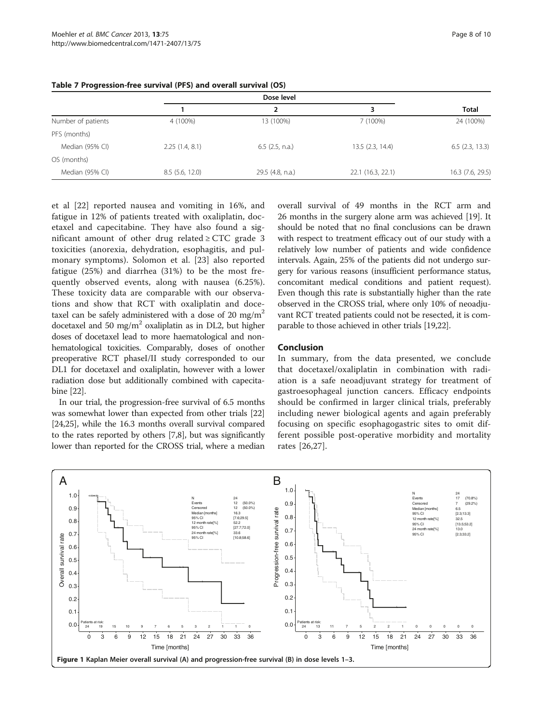|                    |                | Dose level        |                   |                   |
|--------------------|----------------|-------------------|-------------------|-------------------|
|                    |                | 2                 | 3                 | <b>Total</b>      |
| Number of patients | 4 (100%)       | 13 (100%)         | 7 (100%)          | 24 (100%)         |
| PFS (months)       |                |                   |                   |                   |
| Median (95% CI)    | 2.25(1.4, 8.1) | $6.5$ (2.5, n.a.) | 13.5(2.3, 14.4)   | $6.5$ (2.3, 13.3) |
| OS (months)        |                |                   |                   |                   |
| Median (95% CI)    | 8.5(5.6, 12.0) | 29.5 (4.8, n.a.)  | 22.1 (16.3, 22.1) | 16.3 (7.6, 29.5)  |
|                    |                |                   |                   |                   |

<span id="page-7-0"></span>Table 7 Progression-free survival (PFS) and overall survival (OS)

et al [[22\]](#page-8-0) reported nausea and vomiting in 16%, and fatigue in 12% of patients treated with oxaliplatin, docetaxel and capecitabine. They have also found a significant amount of other drug related  $\geq$  CTC grade 3 toxicities (anorexia, dehydration, esophagitis, and pulmonary symptoms). Solomon et al. [[23\]](#page-8-0) also reported fatigue (25%) and diarrhea (31%) to be the most frequently observed events, along with nausea (6.25%). These toxicity data are comparable with our observations and show that RCT with oxaliplatin and docetaxel can be safely administered with a dose of 20 mg/m<sup>2</sup> docetaxel and 50 mg/m<sup>2</sup> oxaliplatin as in DL2, but higher doses of docetaxel lead to more haematological and nonhematological toxicities. Comparably, doses of onother preoperative RCT phaseI/II study corresponded to our DL1 for docetaxel and oxaliplatin, however with a lower radiation dose but additionally combined with capecitabine [[22](#page-8-0)].

In our trial, the progression-free survival of 6.5 months was somewhat lower than expected from other trials [[22](#page-8-0)] [[24,25](#page-8-0)], while the 16.3 months overall survival compared to the rates reported by others [[7,8\]](#page-8-0), but was significantly lower than reported for the CROSS trial, where a median overall survival of 49 months in the RCT arm and 26 months in the surgery alone arm was achieved [\[19\]](#page-8-0). It should be noted that no final conclusions can be drawn with respect to treatment efficacy out of our study with a relatively low number of patients and wide confidence intervals. Again, 25% of the patients did not undergo surgery for various reasons (insufficient performance status, concomitant medical conditions and patient request). Even though this rate is substantially higher than the rate observed in the CROSS trial, where only 10% of neoadjuvant RCT treated patients could not be resected, it is comparable to those achieved in other trials [\[19,22](#page-8-0)].

#### Conclusion

In summary, from the data presented, we conclude that docetaxel/oxaliplatin in combination with radiation is a safe neoadjuvant strategy for treatment of gastroesophageal junction cancers. Efficacy endpoints should be confirmed in larger clinical trials, preferably including newer biological agents and again preferably focusing on specific esophagogastric sites to omit different possible post-operative morbidity and mortality rates [\[26](#page-9-0),[27\]](#page-9-0).

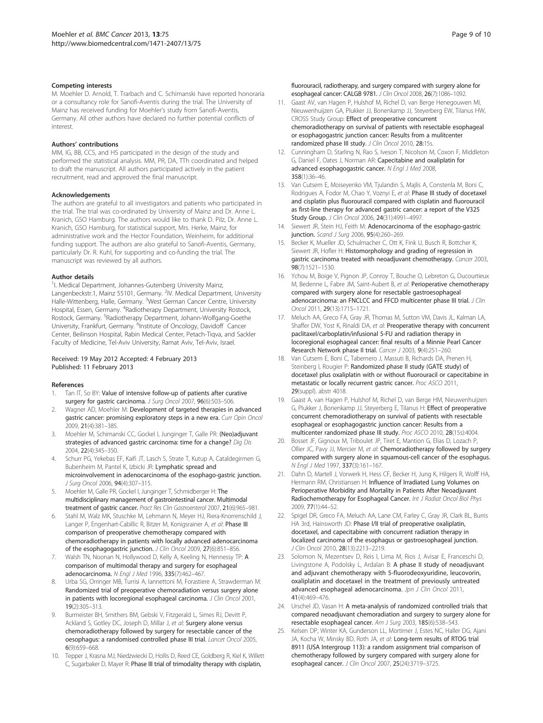#### <span id="page-8-0"></span>Competing interests

M. Moehler D. Arnold, T. Trarbach and C. Schimanski have reported honoraria or a consultancy role for Sanofi-Aventis during the trial. The University of Mainz has received funding for Moehler's study from Sanofi-Aventis, Germany. All other authors have declared no further potential conflicts of interest.

#### Authors' contributions

MM, IG, BB, CCS, and HS participated in the design of the study and performed the statistical analysis. MM, PR, DA, TTh coordinated and helped to draft the manuscript. All authors participated actively in the patient recruitment, read and approved the final manuscript.

#### Acknowledgements

The authors are grateful to all investigators and patients who participated in the trial. The trial was co-ordinated by University of Mainz and Dr. Anne L. Kranich, GSO Hamburg. The authors would like to thank D. Pilz, Dr. Anne L. Kranich, GSO Hamburg, for statistical support, Mrs. Herke, Mainz, for administrative work and the Hector Foundation, Weinheim, for additional funding support. The authors are also grateful to Sanofi-Aventis, Germany, particularly Dr. R. Kuhl, for supporting and co-funding the trial. The manuscript was reviewed by all authors.

#### Author details

<sup>1</sup>I. Medical Department, Johannes-Gutenberg University Mainz, Langenbeckstr.1, Mainz 55101, Germany. <sup>2</sup>IV. Medical Department, University Halle-Wittenberg, Halle, Germany. <sup>3</sup>West German Cancer Centre, University Hospital, Essen, Germany. <sup>4</sup>Radiotherapy Department, University Rostock, Rostock, Germany. <sup>5</sup>Radiotherapy Department, Johann-Wolfgang-Goethe University, Frankfurt, Germany. <sup>6</sup>Institute of Oncology, Davidoff Cancer Center, Beilinson Hospital, Rabin Medical Center, Petach-Tiqva, and Sackler Faculty of Medicine, Tel-Aviv University, Ramat Aviv, Tel-Aviv, Israel.

#### Received: 19 May 2012 Accepted: 4 February 2013 Published: 11 February 2013

#### References

- Tan IT, So BY: Value of intensive follow-up of patients after curative surgery for gastric carcinoma. J Surg Oncol 2007, 96(6):503-506.
- Wagner AD, Moehler M: Development of targeted therapies in advanced gastric cancer: promising exploratory steps in a new era. Curr Opin Oncol 2009, 21(4):381–385.
- 3. Moehler M, Schimanski CC, Gockel I, Junginger T, Galle PR: (Neo)adjuvant strategies of advanced gastric carcinoma: time for a change? Dig Dis 2004, 22(4):345–350.
- 4. Schurr PG, Yekebas EF, Kaifi JT, Lasch S, Strate T, Kutup A, Cataldegirmen G, Bubenheim M, Pantel K, Izbicki JR: Lymphatic spread and microinvolvement in adenocarcinoma of the esophago-gastric junction. J Surg Oncol 2006, 94(4):307–315.
- 5. Moehler M, Galle PR, Gockel I, Junginger T, Schmidberger H: The multidisciplinary management of gastrointestinal cancer. Multimodal treatment of gastric cancer. Pract Res Clin Gastroenterol 2007, 21(6):965–981.
- 6. Stahl M, Walz MK, Stuschke M, Lehmann N, Meyer HJ, Riera-Knorrenschild J, Langer P, Engenhart-Cabillic R, Bitzer M, Konigsrainer A, et al: Phase III comparison of preoperative chemotherapy compared with chemoradiotherapy in patients with locally advanced adenocarcinoma of the esophagogastric junction. J Clin Oncol 2009, 27(6):851-856.
- 7. Walsh TN, Noonan N, Hollywood D, Kelly A, Keeling N, Hennessy TP: A comparison of multimodal therapy and surgery for esophageal adenocarcinoma. N Engl J Med 1996, 335(7):462–467.
- 8. Urba SG, Orringer MB, Turrisi A, Iannettoni M, Forastiere A, Strawderman M: Randomized trial of preoperative chemoradiation versus surgery alone in patients with locoregional esophageal carcinoma. J Clin Oncol 2001, 19(2):305–313.
- Burmeister BH, Smithers BM, Gebski V, Fitzgerald L, Simes RJ, Devitt P, Ackland S, Gotley DC, Joseph D, Millar J, et al: Surgery alone versus chemoradiotherapy followed by surgery for resectable cancer of the oesophagus: a randomised controlled phase III trial. Lancet Oncol 2005, 6(9):659–668.
- 10. Tepper J, Krasna MJ, Niedzwiecki D, Hollis D, Reed CE, Goldberg R, Kiel K, Willett C, Sugarbaker D, Mayer R: Phase III trial of trimodality therapy with cisplatin,
- 11. Gaast AV, van Hagen P, Hulshof M, Richel D, van Berge Henegouwen MI, Nieuwenhuijzen GA, Plukker JJ, Bonenkamp JJ, Steyerberg EW, Tilanus HW, CROSS Study Group: Effect of preoperative concurrent chemoradiotherapy on survival of patients with resectable esophageal or esophagogastric junction cancer: Results from a mulitcenter randomized phase III study. J Clin Oncol 2010, 28:15s.
- 12. Cunningham D, Starling N, Rao S, Iveson T, Nicolson M, Coxon F, Middleton G, Daniel F, Oates J, Norman AR: Capecitabine and oxaliplatin for advanced esophagogastric cancer. N Engl J Med 2008, 358(1):36–46.
- 13. Van Cutsem E, Moiseyenko VM, Tjulandin S, Majlis A, Constenla M, Boni C, Rodrigues A, Fodor M, Chao Y, Voznyi E, et al: Phase III study of docetaxel and cisplatin plus fluorouracil compared with cisplatin and fluorouracil as first-line therapy for advanced gastric cancer: a report of the V325 Study Group. J Clin Oncol 2006, 24(31):4991–4997.
- 14. Siewert JR, Stein HJ, Feith M: Adenocarcinoma of the esophago-gastric junction. Scand J Surg 2006, 95(4):260-269.
- 15. Becker K, Mueller JD, Schulmacher C, Ott K, Fink U, Busch R, Bottcher K, Siewert JR, Hofler H: Histomorphology and grading of regression in gastric carcinoma treated with neoadjuvant chemotherapy. Cancer 2003, 98(7):1521–1530.
- 16. Ychou M, Boige V, Pignon JP, Conroy T, Bouche O, Lebreton G, Ducourtieux M, Bedenne L, Fabre JM, Saint-Aubert B, et al: Perioperative chemotherapy compared with surgery alone for resectable gastroesophageal adenocarcinoma: an FNCLCC and FFCD multicenter phase III trial. J Clin Oncol 2011, 29(13):1715–1721.
- 17. Meluch AA, Greco FA, Gray JR, Thomas M, Sutton VM, Davis JL, Kalman LA, Shaffer DW, Yost K, Rinaldi DA, et al: Preoperative therapy with concurrent paclitaxel/carboplatin/infusional 5-FU and radiation therapy in locoregional esophageal cancer: final results of a Minnie Pearl Cancer Research Network phase II trial. Cancer J 2003, 9(4):251–260.
- 18. Van Cutsem E, Boni C, Tabernero J, Massuti B, Richards DA, Prenen H, Steinberg I, Rougier P: Randomized phase II study (GATE study) of docetaxel plus oxaliplatin with or without fluorouracil or capecitabine in metastatic or locally recurrent gastric cancer. Proc ASCO 2011, 29(suppl). abstr 4018.
- 19. Gaast A, van Hagen P, Hulshof M, Richel D, van Berge HM, Nieuwenhuijzen G, Plukker J, Bonenkamp JJ, Steyerberg E, Tilanus H: Effect of preoperative concurrent chemoradiotherapy on survival of patients with resectable esophageal or esophagogastric junction cancer: Results from a multicenter randomized phase III study. Proc ASCO 2010, 28(15s):4004.
- 20. Bosset JF, Gignoux M, Triboulet JP, Tiret E, Mantion G, Elias D, Lozach P, Ollier JC, Pavy JJ, Mercier M, et al: Chemoradiotherapy followed by surgery compared with surgery alone in squamous-cell cancer of the esophagus. N Engl J Med 1997, 337(3):161–167.
- 21. Dahn D, Martell J, Vorwerk H, Hess CF, Becker H, Jung K, Hilgers R, Wolff HA, Hermann RM, Christiansen H: Influence of Irradiated Lung Volumes on Perioperative Morbidity and Mortality in Patients After Neoadjuvant Radiochemotherapy for Esophageal Cancer. Int J Radiat Oncol Biol Phys 2009, 77(1):44–52.
- 22. Spigel DR, Greco FA, Meluch AA, Lane CM, Farley C, Gray JR, Clark BL, Burris HA 3rd, Hainsworth JD: Phase I/II trial of preoperative oxaliplatin, docetaxel, and capecitabine with concurrent radiation therapy in localized carcinoma of the esophagus or gastroesophageal junction. J Clin Oncol 2010, 28(13):2213–2219.
- 23. Solomon N, Mezentsev D, Reis I, Lima M, Rios J, Avisar E, Franceschi D, Livingstone A, Podolsky L, Ardalan B: A phase II study of neoadjuvant and adjuvant chemotherapy with 5-fluorodeoxyuridine, leucovorin, oxaliplatin and docetaxel in the treatment of previously untreated advanced esophageal adenocarcinoma. Jpn J Clin Oncol 2011, 41(4):469–476.
- 24. Urschel JD, Vasan H: A meta-analysis of randomized controlled trials that compared neoadjuvant chemoradiation and surgery to surgery alone for resectable esophageal cancer. Am J Surg 2003, 185(6):538–543.
- 25. Kelsen DP, Winter KA, Gunderson LL, Mortimer J, Estes NC, Haller DG, Ajani JA, Kocha W, Minsky BD, Roth JA, et al: Long-term results of RTOG trial 8911 (USA Intergroup 113): a random assignment trial comparison of chemotherapy followed by surgery compared with surgery alone for esophageal cancer. J Clin Oncol 2007, 25(24):3719–3725.